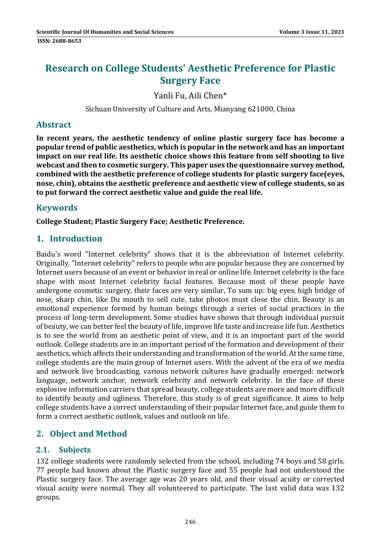# **Research on College Students' Aesthetic Preference for Plastic Surgery Face**

Yanli Fu, Aili Chen\*

Sichuan University of Culture and Arts, Mianyang 621000, China

### **Abstract**

**In recent years, the aesthetic tendency of online plastic surgery face has become a popular trend of public aesthetics, which is popular in the network and has an important impact on our real life. Its aesthetic choice shows this feature from self shooting to live webcast and then to cosmetic surgery. This paper uses the questionnaire survey method, combined with the aesthetic preference of college students for plastic surgery face(eyes, nose, chin), obtains the aesthetic preference and aesthetic view of college students, so as to put forward the correct aesthetic value and guide the real life.**

# **Keywords**

**College Student; Plastic Surgery Face; Aesthetic Preference.**

## **1. Introduction**

Baidu's word "Internet celebrity" shows that it is the abbreviation of Internet celebrity. Originally, "Internet celebrity" refers to people who are popular because they are concerned by Internet users because of an event or behavior in real or online life. Internet celebrity is the face shape with most Internet celebrity facial features. Because most of these people have undergone cosmetic surgery, their faces are very similar, To sum up: big eyes, high bridge of nose, sharp chin, like Du mouth to sell cute, take photos must close the chin. Beauty is an emotional experience formed by human beings through a series of social practices in the process of long-term development. Some studies have shown that through individual pursuit of beauty, we can better feel the beauty of life, improve life taste and increase life fun. Aesthetics is to see the world from an aesthetic point of view, and it is an important part of the world outlook. College students are in an important period of the formation and development of their aesthetics, which affects their understanding and transformation of the world. At the same time, college students are the main group of Internet users. With the advent of the era of we media and network live broadcasting, various network cultures have gradually emerged: network language, network anchor, network celebrity and network celebrity. In the face of these explosive information carriers that spread beauty, college students are more and more difficult to identify beauty and ugliness. Therefore, this study is of great significance. It aims to help college students have a correct understanding of their popular Internet face, and guide them to form a correct aesthetic outlook, values and outlook on life.

# **2. Object and Method**

### **2.1. Subjects**

132 college students were randomly selected from the school, including 74 boys and 58 girls. 77 people had known about the Plastic surgery face and 55 people had not understood the Plastic surgery face. The average age was 20 years old, and their visual acuity or corrected visual acuity were normal. They all volunteered to participate. The last valid data was 132 groups.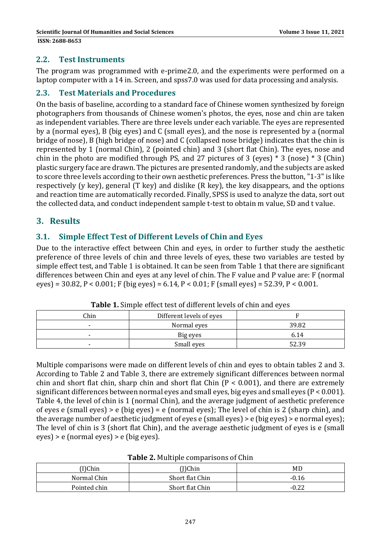#### **2.2. Test Instruments**

The program was programmed with e-prime2.0, and the experiments were performed on a laptop computer with a 14 in. Screen, and spss7.0 was used for data processing and analysis.

#### **2.3. Test Materials and Procedures**

On the basis of baseline, according to a standard face of Chinese women synthesized by foreign photographers from thousands of Chinese women's photos, the eyes, nose and chin are taken as independent variables. There are three levels under each variable. The eyes are represented by a (normal eyes), B (big eyes) and C (small eyes), and the nose is represented by a (normal bridge of nose), B (high bridge of nose) and C (collapsed nose bridge) indicates that the chin is represented by 1 (normal Chin), 2 (pointed chin) and 3 (short flat Chin). The eyes, nose and chin in the photo are modified through PS, and 27 pictures of 3 (eyes)  $*$  3 (nose)  $*$  3 (Chin) plastic surgery face are drawn. The pictures are presented randomly, and the subjects are asked to score three levels according to their own aesthetic preferences. Press the button, "1-3" is like respectively (y key), general (T key) and dislike  $(R \text{ key})$ , the key disappears, and the options and reaction time are automatically recorded. Finally, SPSS is used to analyze the data, sort out the collected data, and conduct independent sample t-test to obtain m value, SD and t value.

### **3. Results**

#### **3.1. Simple Effect Test of Different Levels of Chin and Eyes**

Due to the interactive effect between Chin and eyes, in order to further study the aesthetic preference of three levels of chin and three levels of eyes, these two variables are tested by simple effect test, and Table 1 is obtained. It can be seen from Table 1 that there are significant differences between Chin and eyes at any level of chin. The F value and P value are: F (normal  $eyes$ ) = 30.82, P < 0.001; F (big eyes) = 6.14, P < 0.01; F (small eyes) = 52.39, P < 0.001.

| Chin | Different levels of eyes |       |
|------|--------------------------|-------|
|      | Normal eyes              | 39.82 |
|      | Big eyes                 | 6.14  |
|      | Small eyes               | 52.39 |

**Table 1.** Simple effect test of different levels of chin and eyes

Multiple comparisons were made on different levels of chin and eyes to obtain tables 2 and 3. According to Table 2 and Table 3, there are extremely significant differences between normal chin and short flat chin, sharp chin and short flat Chin  $(P < 0.001)$ , and there are extremely significant differences between normal eyes and small eyes, big eyes and small eyes ( $P < 0.001$ ). Table 4, the level of chin is 1 (normal Chin), and the average judgment of aesthetic preference of eyes e (small eyes) > e (big eyes) = e (normal eyes); The level of chin is 2 (sharp chin), and the average number of aesthetic judgment of eyes  $e$  (small eyes) >  $e$  (big eyes) >  $e$  normal eyes); The level of chin is 3 (short flat Chin), and the average aesthetic judgment of eyes is e (small  $eyes$  >  $e$  (normal  $eyes$ ) >  $e$  (big  $eyes$ ).

|  |  | Table 2. Multiple comparisons of Chin |  |
|--|--|---------------------------------------|--|
|--|--|---------------------------------------|--|

| (I)Chin      | T)Chin          | MD      |
|--------------|-----------------|---------|
| Normal Chin  | Short flat Chin | $-0.16$ |
| Pointed chin | Short flat Chin | $-0.22$ |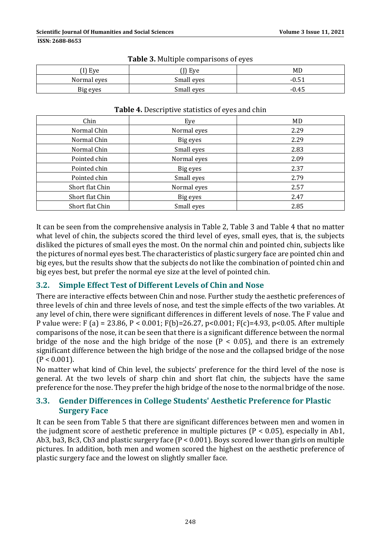| <sup>(1</sup> ) Eye | I) Eye     | MD      |  |
|---------------------|------------|---------|--|
| Normal eyes         | Small eyes | $-0.51$ |  |
| Big eyes            | Small eyes | $-0.45$ |  |

#### **Table 3.** Multiple comparisons of eyes

| Chin                          | Eye         | MD   |  |
|-------------------------------|-------------|------|--|
| Normal Chin                   | Normal eyes | 2.29 |  |
| Normal Chin                   | Big eyes    | 2.29 |  |
| Normal Chin                   | Small eyes  | 2.83 |  |
| Pointed chin                  | Normal eyes | 2.09 |  |
| Pointed chin                  | Big eyes    | 2.37 |  |
| Pointed chin                  | Small eyes  | 2.79 |  |
| Short flat Chin               | Normal eyes | 2.57 |  |
| Short flat Chin               | Big eyes    | 2.47 |  |
| Short flat Chin<br>Small eyes |             | 2.85 |  |

#### **Table 4.** Descriptive statistics of eves and chin

It can be seen from the comprehensive analysis in Table 2, Table 3 and Table 4 that no matter what level of chin, the subjects scored the third level of eyes, small eyes, that is, the subjects disliked the pictures of small eyes the most. On the normal chin and pointed chin, subjects like the pictures of normal eyes best. The characteristics of plastic surgery face are pointed chin and big eyes, but the results show that the subjects do not like the combination of pointed chin and big eyes best, but prefer the normal eye size at the level of pointed chin.

### **3.2. Simple Effect Test of Different Levels of Chin and Nose**

There are interactive effects between Chin and nose. Further study the aesthetic preferences of three levels of chin and three levels of nose, and test the simple effects of the two variables. At any level of chin, there were significant differences in different levels of nose. The F value and P value were: F (a) = 23.86, P < 0.001; F(b)=26.27, p < 0.001; F(c)=4.93, p < 0.05. After multiple comparisons of the nose, it can be seen that there is a significant difference between the normal bridge of the nose and the high bridge of the nose ( $P < 0.05$ ), and there is an extremely significant difference between the high bridge of the nose and the collapsed bridge of the nose  $(P < 0.001)$ .

No matter what kind of Chin level, the subjects' preference for the third level of the nose is general. At the two levels of sharp chin and short flat chin, the subjects have the same preference for the nose. They prefer the high bridge of the nose to the normal bridge of the nose.

#### **3.3. Gender Differences in College Students' Aesthetic Preference for Plastic Surgery Face**

It can be seen from Table 5 that there are significant differences between men and women in the judgment score of aesthetic preference in multiple pictures ( $P < 0.05$ ), especially in Ab1, Ab3, ba3, Bc3, Cb3 and plastic surgery face  $(P < 0.001)$ . Boys scored lower than girls on multiple pictures. In addition, both men and women scored the highest on the aesthetic preference of plastic surgery face and the lowest on slightly smaller face.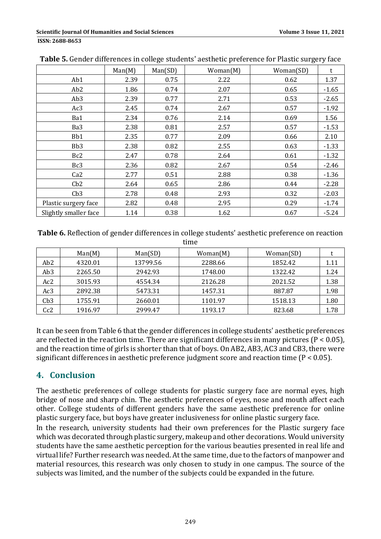|                       | Man(M) | Man(SD) | Woman(M) | Woman(SD) | t       |
|-----------------------|--------|---------|----------|-----------|---------|
| Ab1                   | 2.39   | 0.75    | 2.22     | 0.62      | 1.37    |
| Ab <sub>2</sub>       | 1.86   | 0.74    | 2.07     | 0.65      | $-1.65$ |
| Ab <sub>3</sub>       | 2.39   | 0.77    | 2.71     | 0.53      | $-2.65$ |
| Ac3                   | 2.45   | 0.74    | 2.67     | 0.57      | $-1.92$ |
| Ba1                   | 2.34   | 0.76    | 2.14     | 0.69      | 1.56    |
| Ba3                   | 2.38   | 0.81    | 2.57     | 0.57      | $-1.53$ |
| Bb1                   | 2.35   | 0.77    | 2.09     | 0.66      | 2.10    |
| Bb <sub>3</sub>       | 2.38   | 0.82    | 2.55     | 0.63      | $-1.33$ |
| Bc2                   | 2.47   | 0.78    | 2.64     | 0.61      | $-1.32$ |
| Bc3                   | 2.36   | 0.82    | 2.67     | 0.54      | $-2.46$ |
| Ca2                   | 2.77   | 0.51    | 2.88     | 0.38      | $-1.36$ |
| Cb2                   | 2.64   | 0.65    | 2.86     | 0.44      | $-2.28$ |
| Cb3                   | 2.78   | 0.48    | 2.93     | 0.32      | $-2.03$ |
| Plastic surgery face  | 2.82   | 0.48    | 2.95     | 0.29      | $-1.74$ |
| Slightly smaller face | 1.14   | 0.38    | 1.62     | 0.67      | $-5.24$ |

**Table 5.** Gender differences in college students' aesthetic preference for Plastic surgery face

**Table 6.** Reflection of gender differences in college students' aesthetic preference on reaction time 

|                 | Man(M)  | Man(SD)  | Woman(M) | Woman(SD) |      |
|-----------------|---------|----------|----------|-----------|------|
| Ab2             | 4320.01 | 13799.56 | 2288.66  | 1852.42   | 1.11 |
| Ab <sub>3</sub> | 2265.50 | 2942.93  | 1748.00  | 1322.42   | 1.24 |
| Ac2             | 3015.93 | 4554.34  | 2126.28  | 2021.52   | 1.38 |
| Ac3             | 2892.38 | 5473.31  | 1457.31  | 887.87    | 1.98 |
| Cb3             | 1755.91 | 2660.01  | 1101.97  | 1518.13   | 1.80 |
| Cc2             | 1916.97 | 2999.47  | 1193.17  | 823.68    | 1.78 |

It can be seen from Table 6 that the gender differences in college students' aesthetic preferences are reflected in the reaction time. There are significant differences in many pictures ( $P < 0.05$ ), and the reaction time of girls is shorter than that of boys. On AB2, AB3, AC3 and CB3, there were significant differences in aesthetic preference judgment score and reaction time  $(P < 0.05)$ .

# **4. Conclusion**

The aesthetic preferences of college students for plastic surgery face are normal eyes, high bridge of nose and sharp chin. The aesthetic preferences of eyes, nose and mouth affect each other. College students of different genders have the same aesthetic preference for online plastic surgery face, but boys have greater inclusiveness for online plastic surgery face.

In the research, university students had their own preferences for the Plastic surgery face which was decorated through plastic surgery, makeup and other decorations. Would university students have the same aesthetic perception for the various beauties presented in real life and virtual life? Further research was needed. At the same time, due to the factors of manpower and material resources, this research was only chosen to study in one campus. The source of the subjects was limited, and the number of the subjects could be expanded in the future.